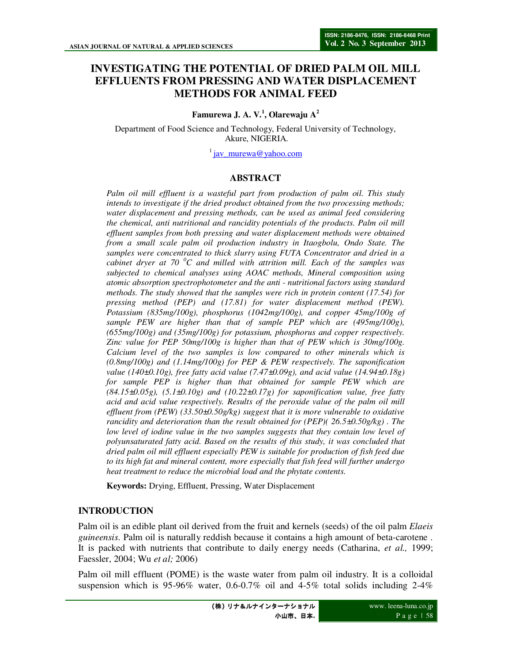# **INVESTIGATING THE POTENTIAL OF DRIED PALM OIL MILL EFFLUENTS FROM PRESSING AND WATER DISPLACEMENT METHODS FOR ANIMAL FEED**

**Famurewa J. A. V.<sup>1</sup> , Olarewaju A<sup>2</sup>**

Department of Food Science and Technology, Federal University of Technology, Akure, NIGERIA.

 $\frac{1}{1}$ jav murewa@yahoo.com

#### **ABSTRACT**

*Palm oil mill effluent is a wasteful part from production of palm oil. This study intends to investigate if the dried product obtained from the two processing methods; water displacement and pressing methods, can be used as animal feed considering the chemical, anti nutritional and rancidity potentials of the products. Palm oil mill effluent samples from both pressing and water displacement methods were obtained from a small scale palm oil production industry in Itaogbolu, Ondo State. The samples were concentrated to thick slurry using FUTA Concentrator and dried in a cabinet dryer at 70 <sup>0</sup>C and milled with attrition mill. Each of the samples was subjected to chemical analyses using AOAC methods, Mineral composition using atomic absorption spectrophotometer and the anti - nutritional factors using standard methods. The study showed that the samples were rich in protein content (17.54) for pressing method (PEP) and (17.81) for water displacement method (PEW). Potassium (835mg/100g), phosphorus (1042mg/100g), and copper 45mg/100g of sample PEW are higher than that of sample PEP which are (495mg/100g), (655mg/100g) and (35mg/100g) for potassium, phosphorus and copper respectively. Zinc value for PEP 50mg/100g is higher than that of PEW which is 30mg/100g. Calcium level of the two samples is low compared to other minerals which is (0.8mg/100g) and (1.14mg/100g) for PEP & PEW respectively. The saponification value (140±0.10g), free fatty acid value (7.47±0.09g), and acid value (14.94±0.18g) for sample PEP is higher than that obtained for sample PEW which are (84.15±0.05g), (5.1±0.10g) and (10.22±0.17g) for saponification value, free fatty acid and acid value respectively. Results of the peroxide value of the palm oil mill effluent from (PEW) (33.50±0.50g/kg) suggest that it is more vulnerable to oxidative rancidity and deterioration than the result obtained for (PEP)( 26.5±0.50g/kg) . The low level of iodine value in the two samples suggests that they contain low level of polyunsaturated fatty acid. Based on the results of this study, it was concluded that dried palm oil mill effluent especially PEW is suitable for production of fish feed due to its high fat and mineral content, more especially that fish feed will further undergo heat treatment to reduce the microbial load and the phytate contents.* 

**Keywords:** Drying, Effluent, Pressing, Water Displacement

### **INTRODUCTION**

Palm oil is an edible plant oil derived from the fruit and kernels (seeds) of the oil palm *Elaeis guineensis*. Palm oil is naturally reddish because it contains a high amount of beta-carotene . It is packed with nutrients that contribute to daily energy needs (Catharina, *et al.,* 1999; Faessler, 2004; Wu *et al;* 2006)

Palm oil mill effluent (POME) is the waste water from palm oil industry. It is a colloidal suspension which is 95-96% water, 0.6-0.7% oil and 4-5% total solids including 2-4%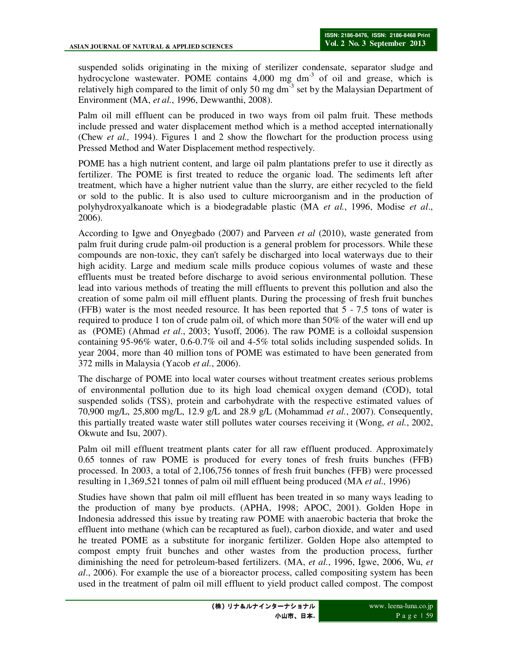suspended solids originating in the mixing of sterilizer condensate, separator sludge and hydrocyclone wastewater. POME contains  $4,000$  mg dm<sup>-3</sup> of oil and grease, which is relatively high compared to the limit of only 50 mg dm<sup>-3</sup> set by the Malaysian Department of Environment (MA, *et al.*, 1996, Dewwanthi, 2008).

Palm oil mill effluent can be produced in two ways from oil palm fruit. These methods include pressed and water displacement method which is a method accepted internationally (Chew *et al.,* 1994). Figures 1 and 2 show the flowchart for the production process using Pressed Method and Water Displacement method respectively.

POME has a high nutrient content, and large oil palm plantations prefer to use it directly as fertilizer. The POME is first treated to reduce the organic load. The sediments left after treatment, which have a higher nutrient value than the slurry, are either recycled to the field or sold to the public. It is also used to culture microorganism and in the production of polyhydroxyalkanoate which is a biodegradable plastic (MA *et al.*, 1996, Modise *et al*., 2006).

According to Igwe and Onyegbado (2007) and Parveen *et al* (2010), waste generated from palm fruit during crude palm-oil production is a general problem for processors. While these compounds are non-toxic, they can't safely be discharged into local waterways due to their high acidity. Large and medium scale mills produce copious volumes of waste and these effluents must be treated before discharge to avoid serious environmental pollution. These lead into various methods of treating the mill effluents to prevent this pollution and also the creation of some palm oil mill effluent plants. During the processing of fresh fruit bunches (FFB) water is the most needed resource. It has been reported that 5 - 7.5 tons of water is required to produce 1 ton of crude palm oil, of which more than 50% of the water will end up as (POME) (Ahmad *et al*., 2003; Yusoff, 2006). The raw POME is a colloidal suspension containing 95-96% water, 0.6-0.7% oil and 4-5% total solids including suspended solids. In year 2004, more than 40 million tons of POME was estimated to have been generated from 372 mills in Malaysia (Yacob *et al.*, 2006).

The discharge of POME into local water courses without treatment creates serious problems of environmental pollution due to its high load chemical oxygen demand (COD), total suspended solids (TSS), protein and carbohydrate with the respective estimated values of 70,900 mg/L, 25,800 mg/L, 12.9 g/L and 28.9 g/L (Mohammad *et al.*, 2007). Consequently, this partially treated waste water still pollutes water courses receiving it (Wong, *et al.*, 2002, Okwute and Isu, 2007).

Palm oil mill effluent treatment plants cater for all raw effluent produced. Approximately 0.65 tonnes of raw POME is produced for every tones of fresh fruits bunches (FFB) processed. In 2003, a total of 2,106,756 tonnes of fresh fruit bunches (FFB) were processed resulting in 1,369,521 tonnes of palm oil mill effluent being produced (MA *et al.,* 1996)

Studies have shown that palm oil mill effluent has been treated in so many ways leading to the production of many bye products. (APHA, 1998; APOC, 2001). Golden Hope in Indonesia addressed this issue by treating raw POME with anaerobic bacteria that broke the effluent into methane (which can be recaptured as fuel), carbon dioxide, and water and used he treated POME as a substitute for inorganic fertilizer. Golden Hope also attempted to compost empty fruit bunches and other wastes from the production process, further diminishing the need for petroleum-based fertilizers. (MA, *et al*., 1996, Igwe, 2006, Wu, *et al*., 2006). For example the use of a bioreactor process, called compositing system has been used in the treatment of palm oil mill effluent to yield product called compost. The compost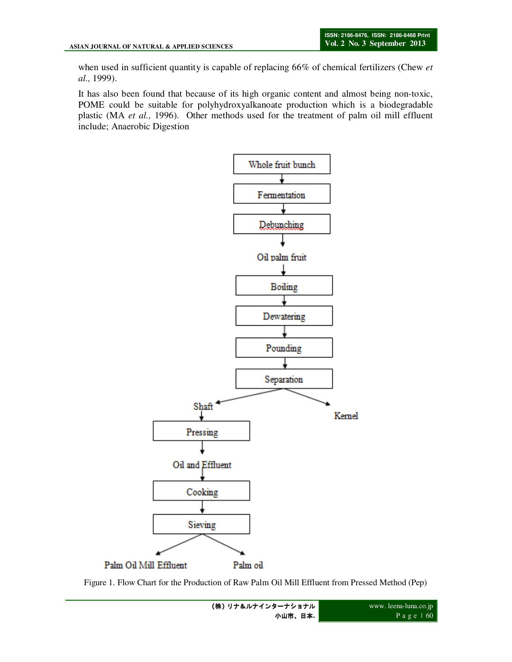when used in sufficient quantity is capable of replacing 66% of chemical fertilizers (Chew *et al.,* 1999).

It has also been found that because of its high organic content and almost being non-toxic, POME could be suitable for polyhydroxyalkanoate production which is a biodegradable plastic (MA *et al.,* 1996). Other methods used for the treatment of palm oil mill effluent include; Anaerobic Digestion



Figure 1. Flow Chart for the Production of Raw Palm Oil Mill Effluent from Pressed Method (Pep)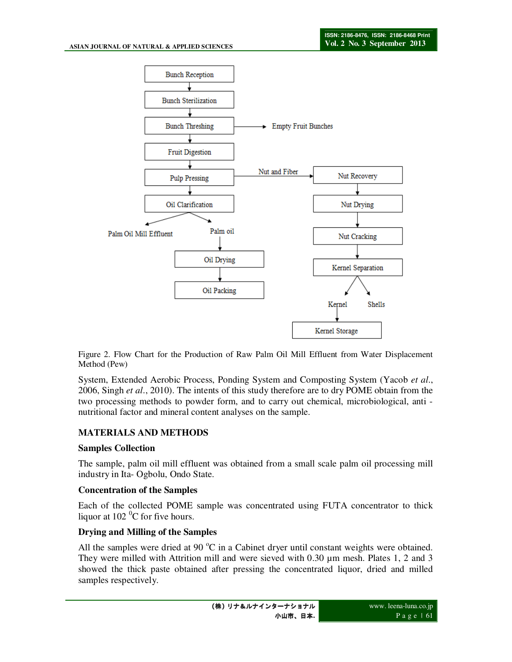

Figure 2. Flow Chart for the Production of Raw Palm Oil Mill Effluent from Water Displacement Method (Pew)

System, Extended Aerobic Process, Ponding System and Composting System (Yacob *et al*., 2006, Singh *et al*., 2010). The intents of this study therefore are to dry POME obtain from the two processing methods to powder form, and to carry out chemical, microbiological, anti nutritional factor and mineral content analyses on the sample.

### **MATERIALS AND METHODS**

### **Samples Collection**

The sample, palm oil mill effluent was obtained from a small scale palm oil processing mill industry in Ita- Ogbolu, Ondo State.

### **Concentration of the Samples**

Each of the collected POME sample was concentrated using FUTA concentrator to thick liquor at  $102<sup>0</sup>C$  for five hours.

### **Drying and Milling of the Samples**

All the samples were dried at 90  $^{\circ}$ C in a Cabinet dryer until constant weights were obtained. They were milled with Attrition mill and were sieved with 0.30 µm mesh. Plates 1, 2 and 3 showed the thick paste obtained after pressing the concentrated liquor, dried and milled samples respectively.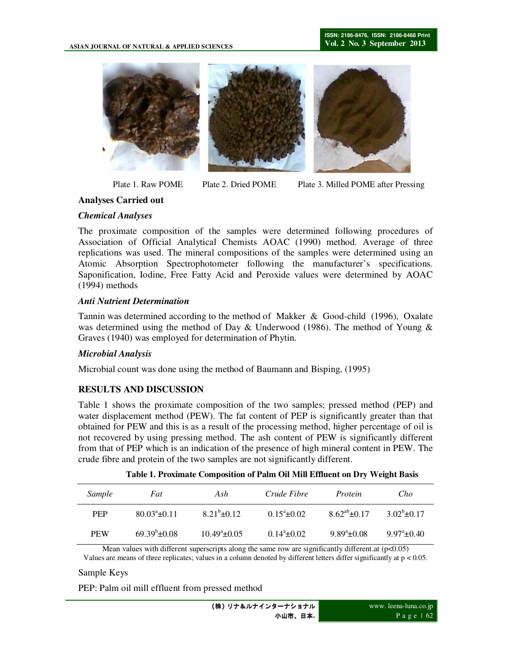

Plate 1. Raw POME Plate 2. Dried POME Plate 3. Milled POME after Pressing

### **Analyses Carried out**

### *Chemical Analyses*

The proximate composition of the samples were determined following procedures of Association of Official Analytical Chemists AOAC (1990) method. Average of three replications was used. The mineral compositions of the samples were determined using an Atomic Absorption Spectrophotometer following the manufacturer's specifications. Saponification, Iodine, Free Fatty Acid and Peroxide values were determined by AOAC (1994) methods

## *Anti Nutrient Determination*

Tannin was determined according to the method of Makker & Good-child (1996), Oxalate was determined using the method of Day & Underwood (1986). The method of Young & Graves (1940) was employed for determination of Phytin.

### *Microbial Analysis*

Microbial count was done using the method of Baumann and Bisping, (1995)

# **RESULTS AND DISCUSSION**

Table 1 shows the proximate composition of the two samples; pressed method (PEP) and water displacement method (PEW). The fat content of PEP is significantly greater than that obtained for PEW and this is as a result of the processing method, higher percentage of oil is not recovered by using pressing method. The ash content of PEW is significantly different from that of PEP which is an indication of the presence of high mineral content in PEW. The crude fibre and protein of the two samples are not significantly different.

| <i>Sample</i> | Fat                   | Ash                  | Crude Fibre         | Protein              | Cho                  |
|---------------|-----------------------|----------------------|---------------------|----------------------|----------------------|
| <b>PEP</b>    | $80.03^{\circ}$ ±0.11 | $8.21^{b} \pm 0.12$  | $0.15^{\circ}+0.02$ | $8.62^{ab} \pm 0.17$ | $3.02^{\circ}+0.17$  |
| <b>PEW</b>    | $69.39^b \pm 0.08$    | $10.49^{\circ}+0.05$ | $0.14^{\circ}+0.02$ | $9.89^{\circ}+0.08$  | $9.97^{\circ}$ ±0.40 |

Mean values with different superscripts along the same row are significantly different.at  $(p<0.05)$ Values are means of three replicates; values in a column denoted by different letters differ significantly at p < 0.05.

### Sample Keys

PEP: Palm oil mill effluent from pressed method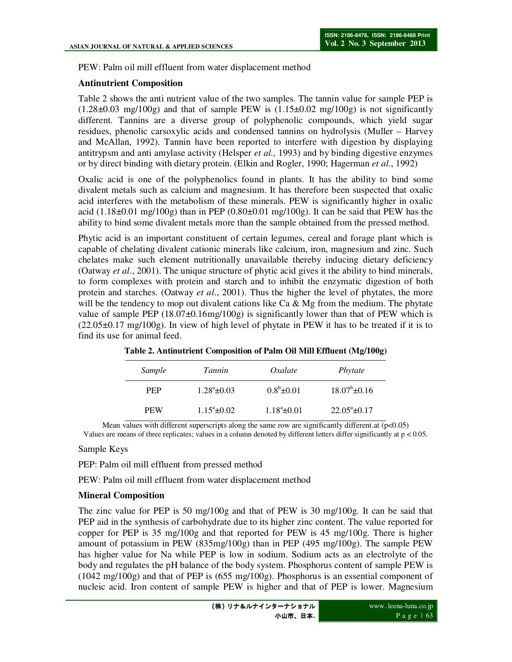PEW: Palm oil mill effluent from water displacement method

#### **Antinutrient Composition**

Table 2 shows the anti nutrient value of the two samples. The tannin value for sample PEP is  $(1.28\pm0.03 \text{ mg}/100g)$  and that of sample PEW is  $(1.15\pm0.02 \text{ mg}/100g)$  is not significantly different. Tannins are a diverse group of polyphenolic compounds, which yield sugar residues, phenolic carsoxylic acids and condensed tannins on hydrolysis (Muller – Harvey and McAllan, 1992). Tannin have been reported to interfere with digestion by displaying antitrypsm and anti amylase activity (Helsper *et al.,* 1993) and by binding digestive enzymes or by direct binding with dietary protein. (Elkin and Rogler, 1990; Hagerman *et al*., 1992)

Oxalic acid is one of the polyphenolics found in plants. It has the ability to bind some divalent metals such as calcium and magnesium. It has therefore been suspected that oxalic acid interferes with the metabolism of these minerals. PEW is significantly higher in oxalic acid  $(1.18\pm0.01 \text{ mg}/100g)$  than in PEP  $(0.80\pm0.01 \text{ mg}/100g)$ . It can be said that PEW has the ability to bind some divalent metals more than the sample obtained from the pressed method.

Phytic acid is an important constituent of certain legumes, cereal and forage plant which is capable of chelating divalent cationic minerals like calcium, iron, magnesium and zinc. Such chelates make such element nutritionally unavailable thereby inducing dietary deficiency (Oatway *et al*., 2001). The unique structure of phytic acid gives it the ability to bind minerals, to form complexes with protein and starch and to inhibit the enzymatic digestion of both protein and starches. (Oatway *et al*., 2001). Thus the higher the level of phytates, the more will be the tendency to mop out divalent cations like  $Ca \& Mg$  from the medium. The phytate value of sample PEP  $(18.07\pm0.16$ mg/100g) is significantly lower than that of PEW which is  $(22.05\pm0.17 \text{ mg}/100 \text{g})$ . In view of high level of phytate in PEW it has to be treated if it is to find its use for animal feed.

| Sample     | Tannin               | Oxalate           | Phytate               |
|------------|----------------------|-------------------|-----------------------|
| <b>PEP</b> | $1.28^{\circ}$ ±0.03 | $0.8^b \pm 0.01$  | $18.07^{\rm b}$ ±0.16 |
| <b>PEW</b> | $1.15^{\circ}$ ±0.02 | $1.18^a \pm 0.01$ | $22.05^{\circ}$ ±0.17 |

Mean values with different superscripts along the same row are significantly different.at  $(p<0.05)$ Values are means of three replicates; values in a column denoted by different letters differ significantly at p < 0.05.

#### Sample Keys

PEP: Palm oil mill effluent from pressed method

PEW: Palm oil mill effluent from water displacement method

### **Mineral Composition**

The zinc value for PEP is 50 mg/100g and that of PEW is 30 mg/100g. It can be said that PEP aid in the synthesis of carbohydrate due to its higher zinc content. The value reported for copper for PEP is 35 mg/100g and that reported for PEW is 45 mg/100g. There is higher amount of potassium in PEW (835mg/100g) than in PEP (495 mg/100g). The sample PEW has higher value for Na while PEP is low in sodium. Sodium acts as an electrolyte of the body and regulates the pH balance of the body system. Phosphorus content of sample PEW is (1042 mg/100g) and that of PEP is (655 mg/100g). Phosphorus is an essential component of nucleic acid. Iron content of sample PEW is higher and that of PEP is lower. Magnesium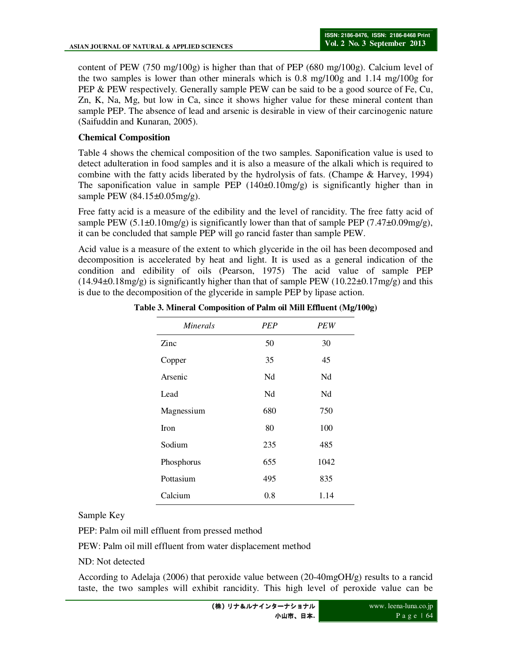content of PEW (750 mg/100g) is higher than that of PEP (680 mg/100g). Calcium level of the two samples is lower than other minerals which is 0.8 mg/100g and 1.14 mg/100g for PEP & PEW respectively. Generally sample PEW can be said to be a good source of Fe, Cu, Zn, K, Na, Mg, but low in Ca, since it shows higher value for these mineral content than sample PEP. The absence of lead and arsenic is desirable in view of their carcinogenic nature (Saifuddin and Kunaran, 2005).

## **Chemical Composition**

Table 4 shows the chemical composition of the two samples. Saponification value is used to detect adulteration in food samples and it is also a measure of the alkali which is required to combine with the fatty acids liberated by the hydrolysis of fats. (Champe & Harvey, 1994) The saponification value in sample PEP  $(140\pm0.10 \text{mg/g})$  is significantly higher than in sample PEW (84.15±0.05mg/g).

Free fatty acid is a measure of the edibility and the level of rancidity. The free fatty acid of sample PEW (5.1 $\pm$ 0.10mg/g) is significantly lower than that of sample PEP (7.47 $\pm$ 0.09mg/g), it can be concluded that sample PEP will go rancid faster than sample PEW.

Acid value is a measure of the extent to which glyceride in the oil has been decomposed and decomposition is accelerated by heat and light. It is used as a general indication of the condition and edibility of oils (Pearson, 1975) The acid value of sample PEP  $(14.94\pm0.18\text{mg/g})$  is significantly higher than that of sample PEW  $(10.22\pm0.17\text{mg/g})$  and this is due to the decomposition of the glyceride in sample PEP by lipase action.

| <i>Minerals</i> | PEP | PEW  |
|-----------------|-----|------|
| Zinc            | 50  | 30   |
| Copper          | 35  | 45   |
| Arsenic         | Nd  | Nd   |
| Lead            | Nd  | Nd   |
| Magnessium      | 680 | 750  |
| <b>Iron</b>     | 80  | 100  |
| Sodium          | 235 | 485  |
| Phosphorus      | 655 | 1042 |
| Pottasium       | 495 | 835  |
| Calcium         | 0.8 | 1.14 |

**Table 3. Mineral Composition of Palm oil Mill Effluent (Mg/100g)** 

Sample Key

PEP: Palm oil mill effluent from pressed method

PEW: Palm oil mill effluent from water displacement method

ND: Not detected

According to Adelaja (2006) that peroxide value between (20-40mgOH/g) results to a rancid taste, the two samples will exhibit rancidity. This high level of peroxide value can be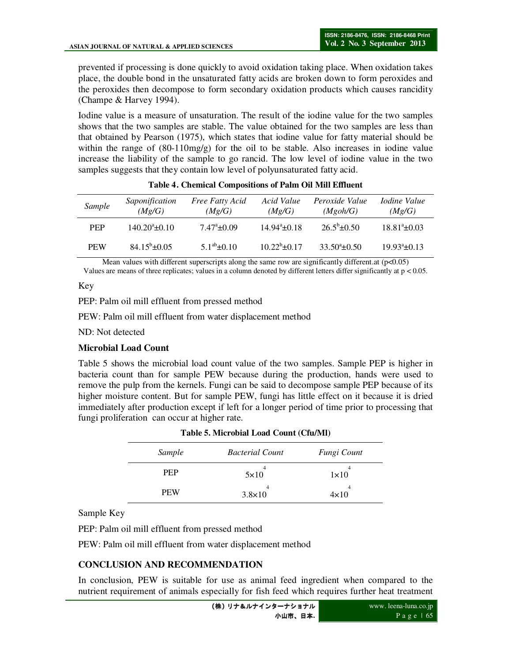prevented if processing is done quickly to avoid oxidation taking place. When oxidation takes place, the double bond in the unsaturated fatty acids are broken down to form peroxides and the peroxides then decompose to form secondary oxidation products which causes rancidity (Champe & Harvey 1994).

Iodine value is a measure of unsaturation. The result of the iodine value for the two samples shows that the two samples are stable. The value obtained for the two samples are less than that obtained by Pearson (1975), which states that iodine value for fatty material should be within the range of  $(80-110mg/g)$  for the oil to be stable. Also increases in iodine value increase the liability of the sample to go rancid. The low level of iodine value in the two samples suggests that they contain low level of polyunsaturated fatty acid.

| Sample     | Saponification<br>(Mg/G) | <b>Free Fatty Acid</b><br>(Mg/G) | Acid Value<br>(Mg/G)  | Peroxide Value<br>(Mgoh/G) | <i>Iodine Value</i><br>(Mg/G) |
|------------|--------------------------|----------------------------------|-----------------------|----------------------------|-------------------------------|
| <b>PEP</b> | $140.20^{\circ}$ ±0.10   | $7.47^{\circ}$ ±0.09             | $14.94^{\circ}$ ±0.18 | $26.5^b \pm 0.50$          | $18.81^a \pm 0.03$            |
| <b>PEW</b> | $84.15^{\rm b} \pm 0.05$ | $5.1^{ab} \pm 0.10$              | $10.22^b \pm 0.17$    | $33.50^{\circ}$ ±0.50      | $19.93^{\circ}$ ±0.13         |

|  |  |  | Table 4. Chemical Compositions of Palm Oil Mill Effluent |  |  |  |
|--|--|--|----------------------------------------------------------|--|--|--|
|--|--|--|----------------------------------------------------------|--|--|--|

Mean values with different superscripts along the same row are significantly different.at (p<0.05) Values are means of three replicates; values in a column denoted by different letters differ significantly at p < 0.05.

Key

PEP: Palm oil mill effluent from pressed method

PEW: Palm oil mill effluent from water displacement method

ND: Not detected

### **Microbial Load Count**

Table 5 shows the microbial load count value of the two samples. Sample PEP is higher in bacteria count than for sample PEW because during the production, hands were used to remove the pulp from the kernels. Fungi can be said to decompose sample PEP because of its higher moisture content. But for sample PEW, fungi has little effect on it because it is dried immediately after production except if left for a longer period of time prior to processing that fungi proliferation can occur at higher rate.

| Sample     | <b>Bacterial Count</b> | Fungi Count      |  |
|------------|------------------------|------------------|--|
| <b>PEP</b> | $5\times10$            | $1\times10$      |  |
| <b>PEW</b> | 4<br>$3.8 \times 10$   | 4<br>$4\times10$ |  |

#### **Table 5. Microbial Load Count (Cfu/Ml)**

Sample Key

PEP: Palm oil mill effluent from pressed method

PEW: Palm oil mill effluent from water displacement method

# **CONCLUSION AND RECOMMENDATION**

In conclusion, PEW is suitable for use as animal feed ingredient when compared to the nutrient requirement of animals especially for fish feed which requires further heat treatment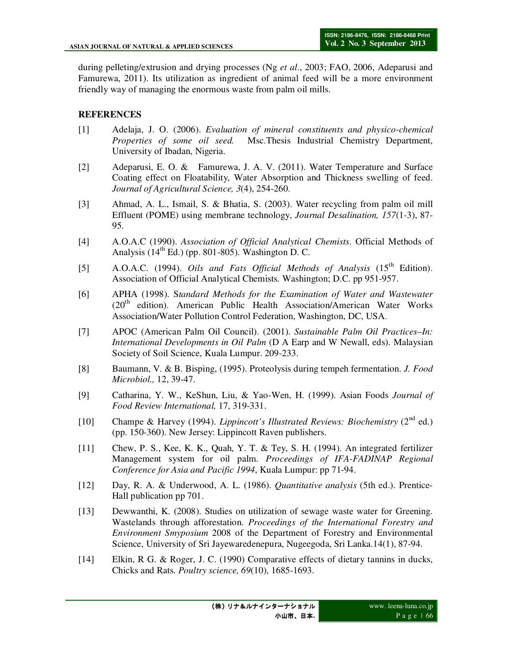during pelleting/extrusion and drying processes (Ng *et al*., 2003; FAO, 2006, Adeparusi and Famurewa, 2011). Its utilization as ingredient of animal feed will be a more environment friendly way of managing the enormous waste from palm oil mills.

# **REFERENCES**

- [1] Adelaja, J. O. (2006). *Evaluation of mineral constituents and physico-chemical Properties of some oil seed.* Msc.Thesis Industrial Chemistry Department, University of Ibadan, Nigeria.
- [2] Adeparusi, E. O. & Famurewa, J. A. V. (2011). Water Temperature and Surface Coating effect on Floatability, Water Absorption and Thickness swelling of feed. *Journal of Agricultural Science, 3*(4), 254-260.
- [3] Ahmad, A. L., Ismail, S. & Bhatia, S. (2003). Water recycling from palm oil mill Effluent (POME) using membrane technology, *Journal Desalination, 157*(1-3), 87- 95.
- [4] A.O.A.C (1990). *Association of Official Analytical Chemists*. Official Methods of Analysis  $(14<sup>th</sup> Ed.)$  (pp. 801-805). Washington D. C.
- [5] A.O.A.C. (1994). *Oils and Fats Official Methods of Analysis* (15<sup>th</sup> Edition). Association of Official Analytical Chemists*.* Washington; D.C. pp 951-957.
- [6] APHA (1998). S*tandard Methods for the Examination of Water and Wastewater*  (20<sup>th</sup> edition). American Public Health Association/American Water Works Association/Water Pollution Control Federation, Washington, DC, USA.
- [7] APOC (American Palm Oil Council). (2001). *Sustainable Palm Oil Practices–In: International Developments in Oil Palm* (D A Earp and W Newall, eds). Malaysian Society of Soil Science, Kuala Lumpur. 209-233.
- [8] Baumann, V. & B. Bisping, (1995). Proteolysis during tempeh fermentation. *J. Food Microbiol.,* 12, 39-47.
- [9] Catharina, Y. W., KeShun, Liu, & Yao-Wen, H. (1999). Asian Foods *Journal of Food Review International,* 17, 319-331.
- [10] Champe & Harvey (1994). *Lippincott's Illustrated Reviews: Biochemistry* (2<sup>nd</sup> ed.) (pp. 150-360). New Jersey: Lippincott Raven publishers.
- [11] Chew, P. S., Kee, K. K., Quah, Y. T. & Tey, S. H. (1994). An integrated fertilizer Management system for oil palm. *Proceedings of IFA-FADINAP Regional Conference for Asia and Pacific 1994*, Kuala Lumpur: pp 71-94.
- [12] Day, R. A. & Underwood, A. L. (1986). *Quantitative analysis* (5th ed.). Prentice-Hall publication pp 701.
- [13] Dewwanthi, K. (2008). Studies on utilization of sewage waste water for Greening. Wastelands through afforestation. *Proceedings of the International Forestry and Environment Smyposium* 2008 of the Department of Forestry and Environmental Science, University of Sri Jayewaredenepura, Nugeegoda, Sri Lanka.14(1), 87-94.
- [14] Elkin, R G. & Roger, J. C. (1990) Comparative effects of dietary tannins in ducks, Chicks and Rats. *Poultry science, 69*(10), 1685-1693.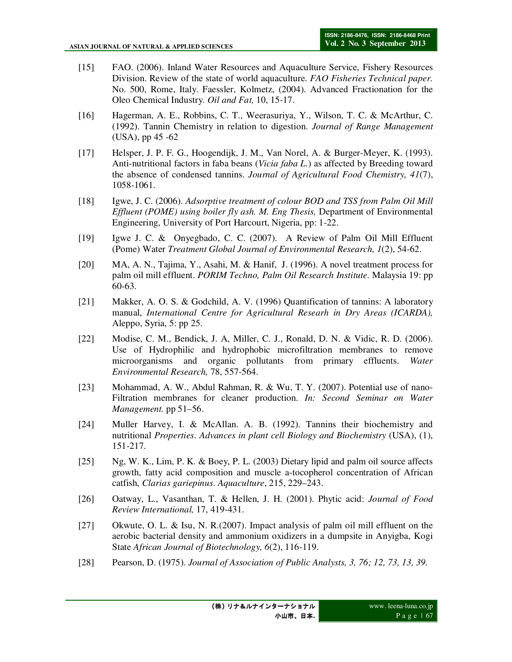- [15] FAO. (2006). Inland Water Resources and Aquaculture Service, Fishery Resources Division. Review of the state of world aquaculture. *FAO Fisheries Technical paper.* No. 500, Rome, Italy. Faessler, Kolmetz, (2004). Advanced Fractionation for the Oleo Chemical Industry. *Oil and Fat,* 10, 15-17.
- [16] Hagerman, A. E., Robbins, C. T., Weerasuriya, Y., Wilson, T. C. & McArthur, C. (1992). Tannin Chemistry in relation to digestion. *Journal of Range Management*  (USA), pp 45 -62
- [17] Helsper, J. P. F. G., Hoogendijk, J. M., Van Norel, A. & Burger-Meyer, K. (1993). Anti-nutritional factors in faba beans (*Vicia faba L.*) as affected by Breeding toward the absence of condensed tannins. *Journal of Agricultural Food Chemistry, 41*(7), 1058-1061.
- [18] Igwe, J. C. (2006). *Adsorptive treatment of colour BOD and TSS from Palm Oil Mill Effluent (POME) using boiler fly ash. M. Eng Thesis,* Department of Environmental Engineering, University of Port Harcourt, Nigeria, pp: 1-22.
- [19] Igwe J. C. & Onyegbado, C. C. (2007). A Review of Palm Oil Mill Effluent (Pome) Water *Treatment Global Journal of Environmental Research, 1*(2), 54-62.
- [20] MA, A. N., Tajima, Y., Asahi, M. & Hanif, J. (1996). A novel treatment process for palm oil mill effluent. *PORIM Techno, Palm Oil Research Institute.* Malaysia 19: pp 60-63.
- [21] Makker, A. O. S. & Godchild, A. V. (1996) Quantification of tannins: A laboratory manual, *International Centre for Agricultural Researh in Dry Areas (ICARDA),*  Aleppo, Syria, 5: pp 25.
- [22] Modise, C. M., Bendick, J. A, Miller, C. J., Ronald, D. N. & Vidic, R. D. (2006). Use of Hydrophilic and hydrophobic microfiltration membranes to remove microorganisms and organic pollutants from primary effluents. *Water Environmental Research,* 78, 557-564.
- [23] Mohammad, A. W., Abdul Rahman, R. & Wu, T. Y. (2007). Potential use of nano-Filtration membranes for cleaner production. *In: Second Seminar on Water Management.* pp 51–56.
- [24] Muller Harvey, I. & McAllan. A. B. (1992). Tannins their biochemistry and nutritional *Properties*. *Advances in plant cell Biology and Biochemistry* (USA), (1), 151-217.
- [25] Ng, W. K., Lim, P. K. & Boey, P. L. (2003) Dietary lipid and palm oil source affects growth, fatty acid composition and muscle a-tocopherol concentration of African catfish, *Clarias gariepinus*. *Aquaculture*, 215, 229–243.
- [26] Oatway, L., Vasanthan, T. & Hellen, J. H. (2001). Phytic acid: *Journal of Food Review International,* 17, 419-431.
- [27] Okwute, O. L. & Isu, N. R.(2007). Impact analysis of palm oil mill effluent on the aerobic bacterial density and ammonium oxidizers in a dumpsite in Anyigba, Kogi State *African Journal of Biotechnology, 6*(2), 116-119.
- [28] Pearson, D. (1975). *Journal of Association of Public Analysts, 3, 76; 12, 73, 13, 39.*